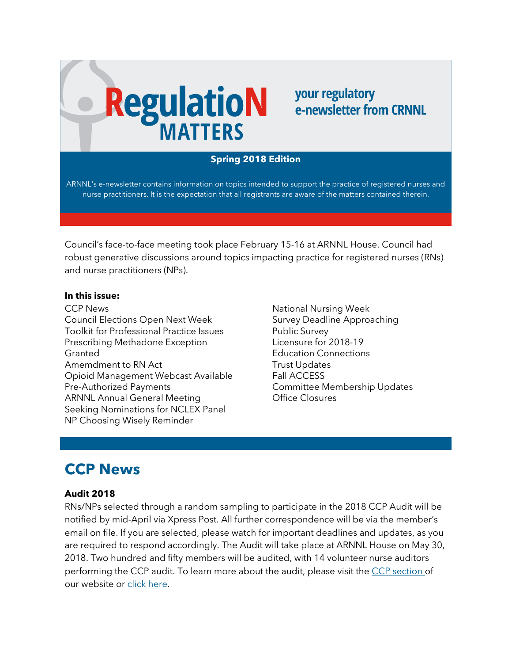# **RegulatioN**

## your regulatory e-newsletter from CRNNL

## **Spring 2018 Edition**

ARNNL's e-newsletter contains information on topics intended to support the practice of registered nurses and nurse practitioners. It is the expectation that all registrants are aware of the matters contained therein.

Council's face-to-face meeting took place February 15-16 at ARNNL House. Council had robust generative discussions around topics impacting practice for registered nurses (RNs) and nurse practitioners (NPs).

#### **In this issue:**

CCP News Council Elections Open Next Week Toolkit for Professional Practice Issues Prescribing Methadone Exception Granted Amemdment to RN Act Opioid Management Webcast Available Pre-Authorized Payments ARNNL Annual General Meeting Seeking Nominations for NCLEX Panel NP Choosing Wisely Reminder

National Nursing Week Survey Deadline Approaching Public Survey Licensure for 2018-19 Education Connections Trust Updates Fall ACCESS Committee Membership Updates Office Closures

# **CCP News**

## **Audit 2018**

RNs/NPs selected through a random sampling to participate in the 2018 CCP Audit will be notified by mid-April via Xpress Post. All further correspondence will be via the member's email on file. If you are selected, please watch for important deadlines and updates, as you are required to respond accordingly. The Audit will take place at ARNNL House on May 30, 2018. Two hundred and fifty members will be audited, with 14 volunteer nurse auditors performing the CCP audit. To learn more about the audit, please visit the [CCP section o](https://www.arnnl.ca/continuing-competence)f our website or [click here.](https://www.arnnl.ca/sites/default/files/Fast_Facts_on_the_Upcoming_CCP_Audit_2018_REVISED.pdf)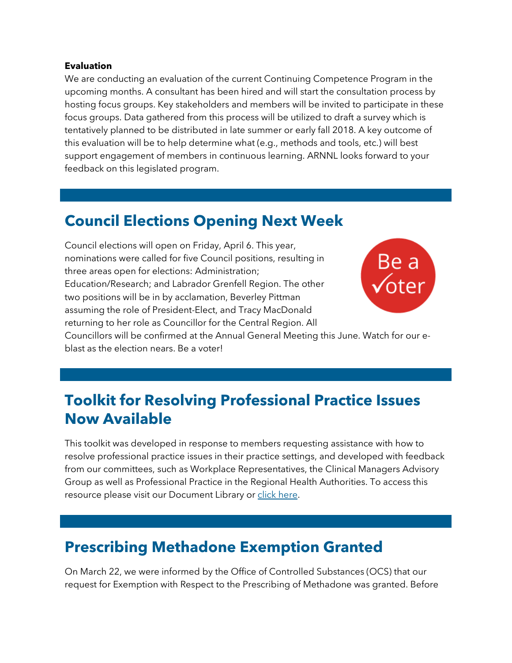#### **Evaluation**

We are conducting an evaluation of the current Continuing Competence Program in the upcoming months. A consultant has been hired and will start the consultation process by hosting focus groups. Key stakeholders and members will be invited to participate in these focus groups. Data gathered from this process will be utilized to draft a survey which is tentatively planned to be distributed in late summer or early fall 2018. A key outcome of this evaluation will be to help determine what (e.g., methods and tools, etc.) will best support engagement of members in continuous learning. ARNNL looks forward to your feedback on this legislated program.

# **Council Elections Opening Next Week**

Council elections will open on Friday, April 6. This year, nominations were called for five Council positions, resulting in three areas open for elections: Administration; Education/Research; and Labrador Grenfell Region. The other two positions will be in by acclamation, Beverley Pittman assuming the role of President-Elect, and Tracy MacDonald returning to her role as Councillor for the Central Region. All



Councillors will be confirmed at the Annual General Meeting this June. Watch for our eblast as the election nears. Be a voter!

# **Toolkit for Resolving Professional Practice Issues Now Available**

This toolkit was developed in response to members requesting assistance with how to resolve professional practice issues in their practice settings, and developed with feedback from our committees, such as Workplace Representatives, the Clinical Managers Advisory Group as well as Professional Practice in the Regional Health Authorities. To access this resource please visit our Document Library or [click here.](https://www.crnnl.ca/sites/default/files/documents/DD_Toolkit_for_Resolving_Professional_Practice_Issues.pdf)

# **Prescribing Methadone Exemption Granted**

On March 22, we were informed by the Office of Controlled Substances (OCS) that our request for Exemption with Respect to the Prescribing of Methadone was granted. Before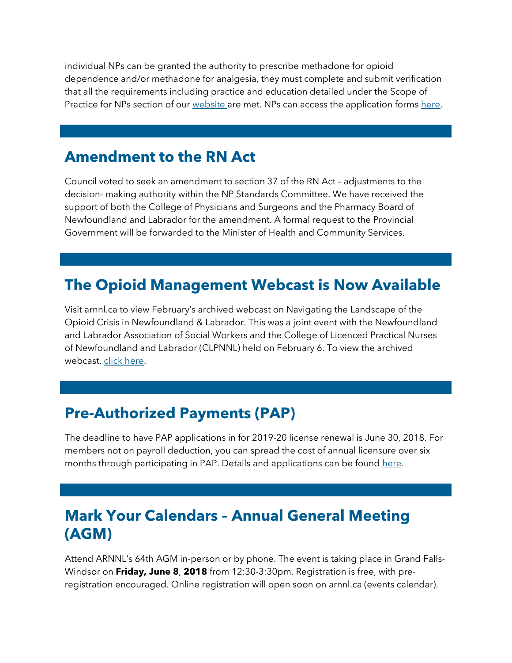individual NPs can be granted the authority to prescribe methadone for opioid dependence and/or methadone for analgesia, they must complete and submit verification that all the requirements including practice and education detailed under the Scope of Practice for NPs section of our [website a](https://www.arnnl.ca/scope-practice-nps)re met. NPs can access the application forms [here.](https://www.arnnl.ca/registration-forms)

## **Amendment to the RN Act**

Council voted to seek an amendment to section 37 of the RN Act – adjustments to the decision- making authority within the NP Standards Committee. We have received the support of both the College of Physicians and Surgeons and the Pharmacy Board of Newfoundland and Labrador for the amendment. A formal request to the Provincial Government will be forwarded to the Minister of Health and Community Services.

# **The Opioid Management Webcast is Now Available**

Visit arnnl.ca to view February's archived webcast on Navigating the Landscape of the Opioid Crisis in Newfoundland & Labrador. This was a joint event with the Newfoundland and Labrador Association of Social Workers and the College of Licenced Practical Nurses of Newfoundland and Labrador (CLPNNL) held on February 6. To view the archived webcast, [click here.](https://arnnl.ca/archived-education-sessions)

# **Pre-Authorized Payments (PAP)**

The deadline to have PAP applications in for 2019-20 license renewal is June 30, 2018. For members not on payroll deduction, you can spread the cost of annual licensure over six months through participating in PAP. Details and applications can be found [here.](https://www.arnnl.ca/registration-forms)

# **Mark Your Calendars – Annual General Meeting (AGM)**

Attend ARNNL's 64th AGM in-person or by phone. The event is taking place in Grand Falls-Windsor on **Friday, June 8**, **2018** from 12:30-3:30pm. Registration is free, with preregistration encouraged. Online registration will open soon on arnnl.ca (events calendar).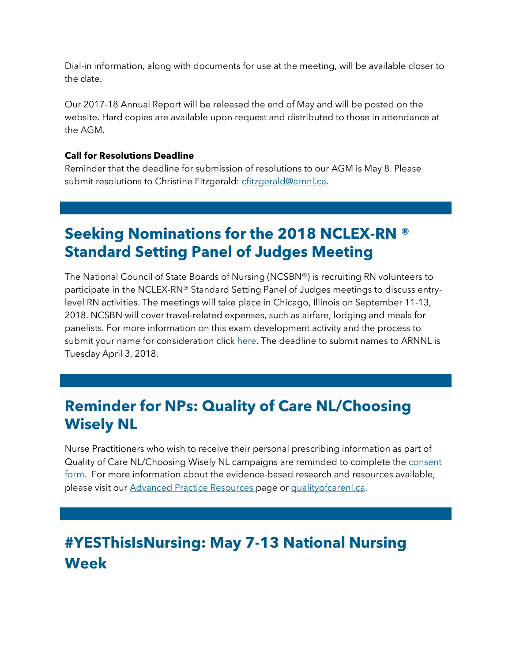Dial-in information, along with documents for use at the meeting, will be available closer to the date.

Our 2017-18 Annual Report will be released the end of May and will be posted on the website. Hard copies are available upon request and distributed to those in attendance at the AGM.

#### **Call for Resolutions Deadline**

Reminder that the deadline for submission of resolutions to our AGM is May 8. Please submit resolutions to Christine Fitzgerald: [cfitzgerald@arnnl.ca.](mailto:cfitzgerald@arnnl.ca)

# **Seeking Nominations for the 2018 NCLEX-RN ® Standard Setting Panel of Judges Meeting**

The National Council of State Boards of Nursing (NCSBN®) is recruiting RN volunteers to participate in the NCLEX-RN® Standard Setting Panel of Judges meetings to discuss entrylevel RN activities. The meetings will take place in Chicago, Illinois on September 11-13, 2018. NCSBN will cover travel-related expenses, such as airfare, lodging and meals for panelists. For more information on this exam development activity and the process to submit your name for consideration click [here.](https://www.arnnl.ca/ncsbn-standard-setting-panel-judges) The deadline to submit names to ARNNL is Tuesday April 3, 2018.

# **Reminder for NPs: Quality of Care NL/Choosing Wisely NL**

Nurse Practitioners who wish to receive their personal prescribing information as part of Quality of Care NL/Choosing Wisely NL campaigns are reminded to complete the [consent](https://www.arnnl.ca/nurse-practitioner-consent-quality-care-nl-choosing-wisely-nl)  [form.](https://www.arnnl.ca/nurse-practitioner-consent-quality-care-nl-choosing-wisely-nl) For more information about the evidence-based research and resources available, please visit our [Advanced Practice Resources p](https://www.arnnl.ca/advanced-practice-resources)age or [qualityofcarenl.ca.](http://qualityofcarenl.ca/)

# **#YESThisIsNursing: May 7-13 National Nursing Week**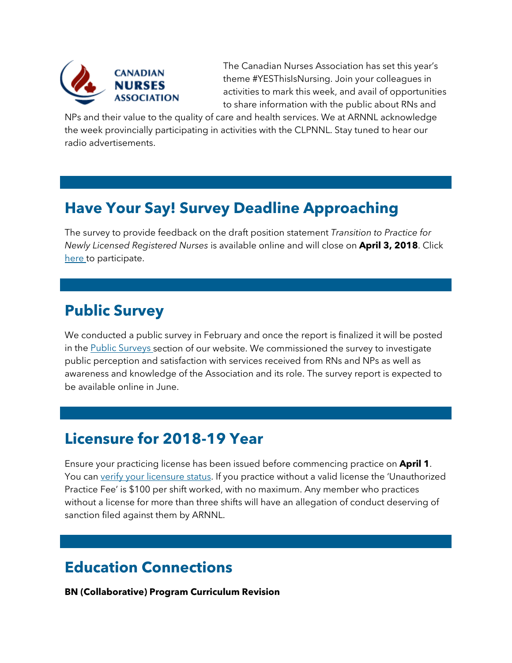

The Canadian Nurses Association has set this year's theme #YESThisIsNursing. Join your colleagues in activities to mark this week, and avail of opportunities to share information with the public about RNs and

NPs and their value to the quality of care and health services. We at ARNNL acknowledge the week provincially participating in activities with the CLPNNL. Stay tuned to hear our radio advertisements.

## **Have Your Say! Survey Deadline Approaching**

The survey to provide feedback on the draft position statement *Transition to Practice for Newly Licensed Registered Nurses* is available online and will close on **April 3, 2018**. Click [here t](https://arnnl.ca/opportunity-input-draft-transition-practice-position-statement)o participate.

## **Public Survey**

We conducted a public survey in February and once the report is finalized it will be posted in the [Public Surveys s](https://www.arnnl.ca/public-surveys)ection of our website. We commissioned the survey to investigate public perception and satisfaction with services received from RNs and NPs as well as awareness and knowledge of the Association and its role. The survey report is expected to be available online in June.

## **Licensure for 2018-19 Year**

Ensure your practicing license has been issued before commencing practice on **April 1**. You can [verify your licensure status.](https://www.arnnl.ca/member-search) If you practice without a valid license the 'Unauthorized Practice Fee' is \$100 per shift worked, with no maximum. Any member who practices without a license for more than three shifts will have an allegation of conduct deserving of sanction filed against them by ARNNL.

# **Education Connections**

## **BN (Collaborative) Program Curriculum Revision**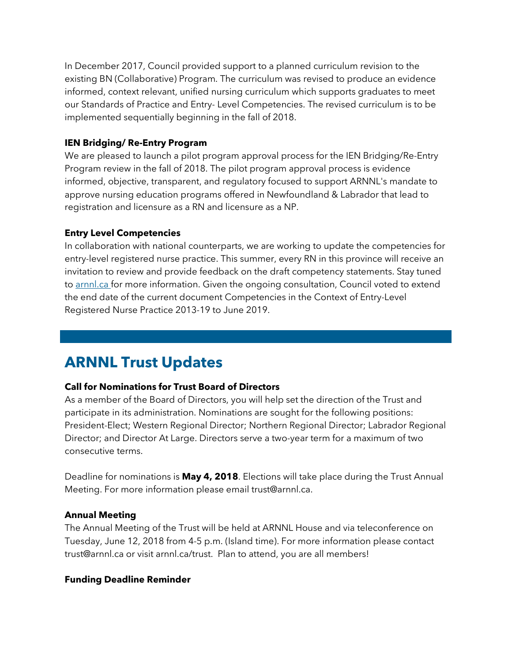In December 2017, Council provided support to a planned curriculum revision to the existing BN (Collaborative) Program. The curriculum was revised to produce an evidence informed, context relevant, unified nursing curriculum which supports graduates to meet our Standards of Practice and Entry- Level Competencies. The revised curriculum is to be implemented sequentially beginning in the fall of 2018.

## **IEN Bridging/ Re-Entry Program**

We are pleased to launch a pilot program approval process for the IEN Bridging/Re-Entry Program review in the fall of 2018. The pilot program approval process is evidence informed, objective, transparent, and regulatory focused to support ARNNL's mandate to approve nursing education programs offered in Newfoundland & Labrador that lead to registration and licensure as a RN and licensure as a NP.

## **Entry Level Competencies**

In collaboration with national counterparts, we are working to update the competencies for entry-level registered nurse practice. This summer, every RN in this province will receive an invitation to review and provide feedback on the draft competency statements. Stay tuned to [arnnl.ca f](https://www.arnnl.ca/)or more information. Given the ongoing consultation, Council voted to extend the end date of the current document Competencies in the Context of Entry-Level Registered Nurse Practice 2013-19 to June 2019.

# **ARNNL Trust Updates**

## **Call for Nominations for Trust Board of Directors**

As a member of the Board of Directors, you will help set the direction of the Trust and participate in its administration. Nominations are sought for the following positions: President-Elect; Western Regional Director; Northern Regional Director; Labrador Regional Director; and Director At Large. Directors serve a two-year term for a maximum of two consecutive terms.

Deadline for nominations is **May 4, 2018**. Elections will take place during the Trust Annual Meeting. For more information please email trust@arnnl.ca.

## **Annual Meeting**

The Annual Meeting of the Trust will be held at ARNNL House and via teleconference on Tuesday, June 12, 2018 from 4-5 p.m. (Island time). For more information please contact trust@arnnl.ca or visit arnnl.ca/trust. Plan to attend, you are all members!

## **Funding Deadline Reminder**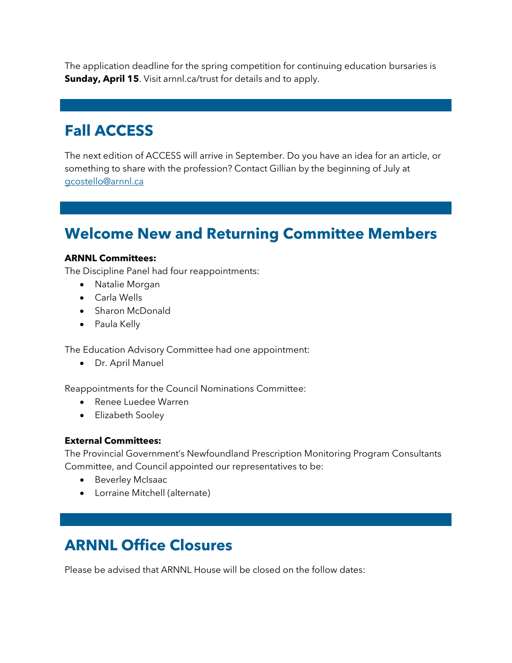The application deadline for the spring competition for continuing education bursaries is **Sunday, April 15**. Visit arnnl.ca/trust for details and to apply.

# **Fall ACCESS**

The next edition of ACCESS will arrive in September. Do you have an idea for an article, or something to share with the profession? Contact Gillian by the beginning of July at [gcostello@arnnl.ca](mailto:gcostello@arnnl.ca)

# **Welcome New and Returning Committee Members**

#### **ARNNL Committees:**

The Discipline Panel had four reappointments:

- Natalie Morgan
- Carla Wells
- Sharon McDonald
- Paula Kelly

The Education Advisory Committee had one appointment:

• Dr. April Manuel

Reappointments for the Council Nominations Committee:

- Renee Luedee Warren
- Elizabeth Sooley

#### **External Committees:**

The Provincial Government's Newfoundland Prescription Monitoring Program Consultants Committee, and Council appointed our representatives to be:

- Beverley McIsaac
- Lorraine Mitchell (alternate)

# **ARNNL Office Closures**

Please be advised that ARNNL House will be closed on the follow dates: